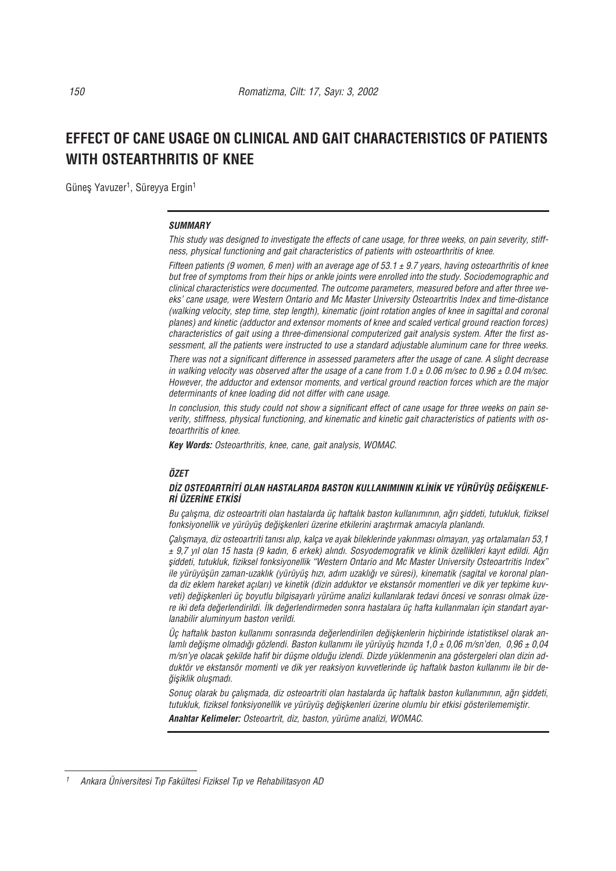# **EFFECT OF CANE USAGE ON CLINICAL AND GAIT CHARACTERISTICS OF PATIENTS WITH OSTEARTHRITIS OF KNEE**

Güneş Yavuzer<sup>1</sup>, Süreyya Ergin<sup>1</sup>

#### *SUMMARY*

*This study was designed to investigate the effects of cane usage, for three weeks, on pain severity, stiffness, physical functioning and gait characteristics of patients with osteoarthritis of knee.* 

*Fifteen patients (9 women, 6 men) with an average age of 53.1 ± 9.7 years, having osteoarthritis of knee but free of symptoms from their hips or ankle joints were enrolled into the study. Sociodemographic and clinical characteristics were documented. The outcome parameters, measured before and after three weeks' cane usage, were Western Ontario and Mc Master University Osteoartritis Index and time-distance (walking velocity, step time, step length), kinematic (joint rotation angles of knee in sagittal and coronal planes) and kinetic (adductor and extensor moments of knee and scaled vertical ground reaction forces) characteristics of gait using a three-dimensional computerized gait analysis system. After the first assessment, all the patients were instructed to use a standard adjustable aluminum cane for three weeks.*

*There was not a significant difference in assessed parameters after the usage of cane. A slight decrease in walking velocity was observed after the usage of a cane from 1.0 ± 0.06 m/sec to 0.96 ± 0.04 m/sec. However, the adductor and extensor moments, and vertical ground reaction forces which are the major determinants of knee loading did not differ with cane usage.* 

*In conclusion, this study could not show a significant effect of cane usage for three weeks on pain severity, stiffness, physical functioning, and kinematic and kinetic gait characteristics of patients with osteoarthritis of knee.*

*Key Words: Osteoarthritis, knee, cane, gait analysis, WOMAC.*

### *ÖZET*

#### DİZ OSTEOARTRİTİ OLAN HASTALARDA BASTON KULLANIMININ KLİNİK VE YÜRÜYÜS DEĞİSKENLE-*R‹ ÜZER‹NE ETK‹S‹*

Bu çalışma, diz osteoartriti olan hastalarda üç haftalık baston kullanımının, ağrı şiddeti, tutukluk, fiziksel *fonksiyonellik ve yürüyüş değişkenleri üzerine etkilerini araştırmak amacıyla planlandı.* 

*Çal›flmaya, diz osteoartriti tan›s› al›p, kalça ve ayak bileklerinde yak›nmas› olmayan, yafl ortalamalar› 53,1 ± 9,7 y›l olan 15 hasta (9 kad›n, 6 erkek) al›nd›. Sosyodemografik ve klinik özellikleri kay›t edildi. A¤r› fliddeti, tutukluk, fiziksel fonksiyonellik "Western Ontario and Mc Master University Osteoartritis Index"* ile yürüyüşün zaman-uzaklık (yürüyüş hızı, adım uzaklığı ve süresi), kinematik (sagital ve koronal planda diz eklem hareket açıları) ve kinetik (dizin adduktor ve ekstansör momentleri ve dik yer tepkime kuvveti) değişkenleri üç boyutlu bilgisayarlı yürüme analizi kullanılarak tedavi öncesi ve sonrası olmak üzere iki defa değerlendirildi. İlk değerlendirmeden sonra hastalara üç hafta kullanmaları için standart ayar*lanabilir aluminyum baston verildi.* 

Üc haftalık baston kullanımı sonrasında de*ğerlendirilen değiskenlerin hiçbirinde istatistiksel olarak anlamlı değisme olmadığı gözlendi. Baston kullanımı ile yürüyüs hızında 1,0 ± 0,06 m/sn'den, 0,96 ± 0,04 m/sn'ye olacak şekilde hafif bir düşme olduğu izlendi. Dizde yüklenmenin ana göstergeleri olan dizin ad*duktör ve ekstansör momenti ve dik yer reaksiyon kuvvetlerinde üç haftalık baston kullanımı ile bir de- $\ddot{g}$ *işiklik oluşmadı.* 

Sonuç olarak bu çalışmada, diz osteoartriti olan hastalarda üç haftalık baston kullanımının, ağrı şiddeti, *tutukluk, fiziksel fonksiyonellik ve yürüyüfl de¤iflkenleri üzerine olumlu bir etkisi gösterilememifltir.* 

*Anahtar Kelimeler: Osteoartrit, diz, baston, yürüme analizi, WOMAC.*

*<sup>1</sup> Ankara Üniversitesi T›p Fakültesi Fiziksel T›p ve Rehabilitasyon AD*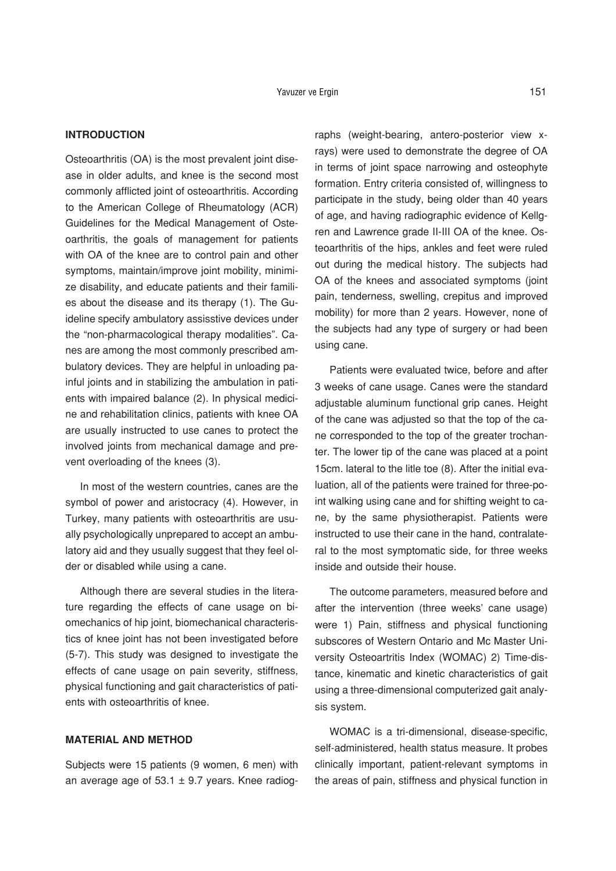## **INTRODUCTION**

Osteoarthritis (OA) is the most prevalent joint disease in older adults, and knee is the second most commonly afflicted joint of osteoarthritis. According to the American College of Rheumatology (ACR) Guidelines for the Medical Management of Osteoarthritis, the goals of management for patients with OA of the knee are to control pain and other symptoms, maintain/improve joint mobility, minimize disability, and educate patients and their families about the disease and its therapy (1). The Guideline specify ambulatory assisstive devices under the "non-pharmacological therapy modalities". Canes are among the most commonly prescribed ambulatory devices. They are helpful in unloading painful joints and in stabilizing the ambulation in patients with impaired balance (2). In physical medicine and rehabilitation clinics, patients with knee OA are usually instructed to use canes to protect the involved joints from mechanical damage and prevent overloading of the knees (3).

In most of the western countries, canes are the symbol of power and aristocracy (4). However, in Turkey, many patients with osteoarthritis are usually psychologically unprepared to accept an ambulatory aid and they usually suggest that they feel older or disabled while using a cane.

Although there are several studies in the literature regarding the effects of cane usage on biomechanics of hip joint, biomechanical characteristics of knee joint has not been investigated before (5-7). This study was designed to investigate the effects of cane usage on pain severity, stiffness, physical functioning and gait characteristics of patients with osteoarthritis of knee.

## **MATERIAL AND METHOD**

Subjects were 15 patients (9 women, 6 men) with an average age of 53.1  $\pm$  9.7 years. Knee radiographs (weight-bearing, antero-posterior view xrays) were used to demonstrate the degree of OA in terms of joint space narrowing and osteophyte formation. Entry criteria consisted of, willingness to participate in the study, being older than 40 years of age, and having radiographic evidence of Kellgren and Lawrence grade II-III OA of the knee. Osteoarthritis of the hips, ankles and feet were ruled out during the medical history. The subjects had OA of the knees and associated symptoms (joint pain, tenderness, swelling, crepitus and improved mobility) for more than 2 years. However, none of the subjects had any type of surgery or had been using cane.

Patients were evaluated twice, before and after 3 weeks of cane usage. Canes were the standard adiustable aluminum functional grip canes. Height of the cane was adjusted so that the top of the cane corresponded to the top of the greater trochanter. The lower tip of the cane was placed at a point 15cm. lateral to the litle toe (8). After the initial evaluation, all of the patients were trained for three-point walking using cane and for shifting weight to cane, by the same physiotherapist. Patients were instructed to use their cane in the hand, contralateral to the most symptomatic side, for three weeks inside and outside their house.

The outcome parameters, measured before and after the intervention (three weeks' cane usage) were 1) Pain, stiffness and physical functioning subscores of Western Ontario and Mc Master University Osteoartritis Index (WOMAC) 2) Time-distance, kinematic and kinetic characteristics of gait using a three-dimensional computerized gait analysis system.

WOMAC is a tri-dimensional, disease-specific, self-administered, health status measure. It probes clinically important, patient-relevant symptoms in the areas of pain, stiffness and physical function in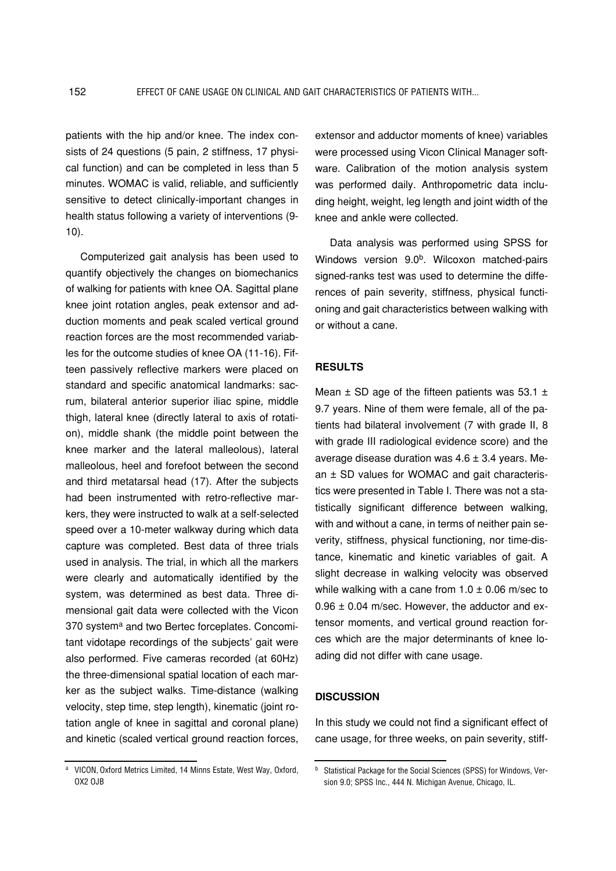patients with the hip and/or knee. The index consists of 24 questions (5 pain, 2 stiffness, 17 physical function) and can be completed in less than 5 minutes. WOMAC is valid, reliable, and sufficiently sensitive to detect clinically-important changes in health status following a variety of interventions (9- 10).

Computerized gait analysis has been used to quantify objectively the changes on biomechanics of walking for patients with knee OA. Sagittal plane knee joint rotation angles, peak extensor and adduction moments and peak scaled vertical ground reaction forces are the most recommended variables for the outcome studies of knee OA (11-16). Fifteen passively reflective markers were placed on standard and specific anatomical landmarks: sacrum, bilateral anterior superior iliac spine, middle thigh, lateral knee (directly lateral to axis of rotation), middle shank (the middle point between the knee marker and the lateral malleolous), lateral malleolous, heel and forefoot between the second and third metatarsal head (17). After the subjects had been instrumented with retro-reflective markers, they were instructed to walk at a self-selected speed over a 10-meter walkway during which data capture was completed. Best data of three trials used in analysis. The trial, in which all the markers were clearly and automatically identified by the system, was determined as best data. Three dimensional gait data were collected with the Vicon 370 system<sup>a</sup> and two Bertec forceplates. Concomitant vidotape recordings of the subjects' gait were also performed. Five cameras recorded (at 60Hz) the three-dimensional spatial location of each marker as the subject walks. Time-distance (walking velocity, step time, step length), kinematic (joint rotation angle of knee in sagittal and coronal plane) and kinetic (scaled vertical ground reaction forces, extensor and adductor moments of knee) variables were processed using Vicon Clinical Manager software. Calibration of the motion analysis system was performed daily. Anthropometric data including height, weight, leg length and joint width of the knee and ankle were collected.

Data analysis was performed using SPSS for Windows version 9.0<sup>b</sup>. Wilcoxon matched-pairs signed-ranks test was used to determine the differences of pain severity, stiffness, physical functioning and gait characteristics between walking with or without a cane.

## **RESULTS**

Mean  $\pm$  SD age of the fifteen patients was 53.1  $\pm$ 9.7 years. Nine of them were female, all of the patients had bilateral involvement (7 with grade II, 8 with grade III radiological evidence score) and the average disease duration was  $4.6 \pm 3.4$  years. Mean ± SD values for WOMAC and gait characteristics were presented in Table I. There was not a statistically significant difference between walking, with and without a cane, in terms of neither pain severity, stiffness, physical functioning, nor time-distance, kinematic and kinetic variables of gait. A slight decrease in walking velocity was observed while walking with a cane from  $1.0 \pm 0.06$  m/sec to 0.96 ± 0.04 m/sec. However, the adductor and extensor moments, and vertical ground reaction forces which are the major determinants of knee loading did not differ with cane usage.

## **DISCUSSION**

In this study we could not find a significant effect of cane usage, for three weeks, on pain severity, stiff-

a VICON, Oxford Metrics Limited, 14 Minns Estate, West Way, Oxford, OX2 OJB

b Statistical Package for the Social Sciences (SPSS) for Windows, Version 9.0; SPSS Inc., 444 N. Michigan Avenue, Chicago, IL.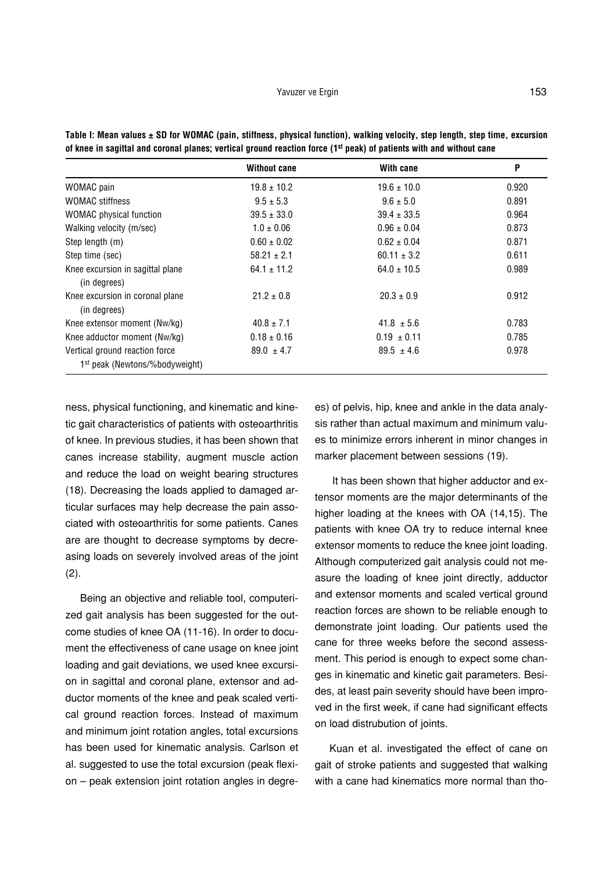|                                                                              | <b>Without cane</b> | With cane       | P     |
|------------------------------------------------------------------------------|---------------------|-----------------|-------|
| WOMAC pain                                                                   | $19.8 \pm 10.2$     | $19.6 \pm 10.0$ | 0.920 |
| <b>WOMAC</b> stiffness                                                       | $9.5 \pm 5.3$       | $9.6 \pm 5.0$   | 0.891 |
| <b>WOMAC</b> physical function                                               | $39.5 \pm 33.0$     | $39.4 \pm 33.5$ | 0.964 |
| Walking velocity (m/sec)                                                     | $1.0 \pm 0.06$      | $0.96 \pm 0.04$ | 0.873 |
| Step length (m)                                                              | $0.60 \pm 0.02$     | $0.62 \pm 0.04$ | 0.871 |
| Step time (sec)                                                              | $58.21 \pm 2.1$     | $60.11 \pm 3.2$ | 0.611 |
| Knee excursion in sagittal plane<br>(in degrees)                             | $64.1 \pm 11.2$     | $64.0 \pm 10.5$ | 0.989 |
| Knee excursion in coronal plane<br>(in degrees)                              | $21.2 \pm 0.8$      | $20.3 \pm 0.9$  | 0.912 |
| Knee extensor moment (Nw/kg)                                                 | $40.8 \pm 7.1$      | $41.8 \pm 5.6$  | 0.783 |
| Knee adductor moment (Nw/kg)                                                 | $0.18 \pm 0.16$     | $0.19 \pm 0.11$ | 0.785 |
| Vertical ground reaction force<br>1 <sup>st</sup> peak (Newtons/%bodyweight) | $89.0 \pm 4.7$      | $89.5 \pm 4.6$  | 0.978 |

**Table I: Mean values ± SD for WOMAC (pain, stiffness, physical function), walking velocity, step length, step time, excursion of knee in sagittal and coronal planes; vertical ground reaction force (1st peak) of patients with and without cane**

ness, physical functioning, and kinematic and kinetic gait characteristics of patients with osteoarthritis of knee. In previous studies, it has been shown that canes increase stability, augment muscle action and reduce the load on weight bearing structures (18). Decreasing the loads applied to damaged articular surfaces may help decrease the pain associated with osteoarthritis for some patients. Canes are are thought to decrease symptoms by decreasing loads on severely involved areas of the joint (2).

Being an objective and reliable tool, computerized gait analysis has been suggested for the outcome studies of knee OA (11-16). In order to document the effectiveness of cane usage on knee joint loading and gait deviations, we used knee excursion in sagittal and coronal plane, extensor and adductor moments of the knee and peak scaled vertical ground reaction forces. Instead of maximum and minimum joint rotation angles, total excursions has been used for kinematic analysis. Carlson et al. suggested to use the total excursion (peak flexion – peak extension joint rotation angles in degrees) of pelvis, hip, knee and ankle in the data analysis rather than actual maximum and minimum values to minimize errors inherent in minor changes in marker placement between sessions (19).

It has been shown that higher adductor and extensor moments are the major determinants of the higher loading at the knees with OA (14,15). The patients with knee OA try to reduce internal knee extensor moments to reduce the knee joint loading. Although computerized gait analysis could not measure the loading of knee joint directly, adductor and extensor moments and scaled vertical ground reaction forces are shown to be reliable enough to demonstrate joint loading. Our patients used the cane for three weeks before the second assessment. This period is enough to expect some changes in kinematic and kinetic gait parameters. Besides, at least pain severity should have been improved in the first week, if cane had significant effects on load distrubution of joints.

Kuan et al. investigated the effect of cane on gait of stroke patients and suggested that walking with a cane had kinematics more normal than tho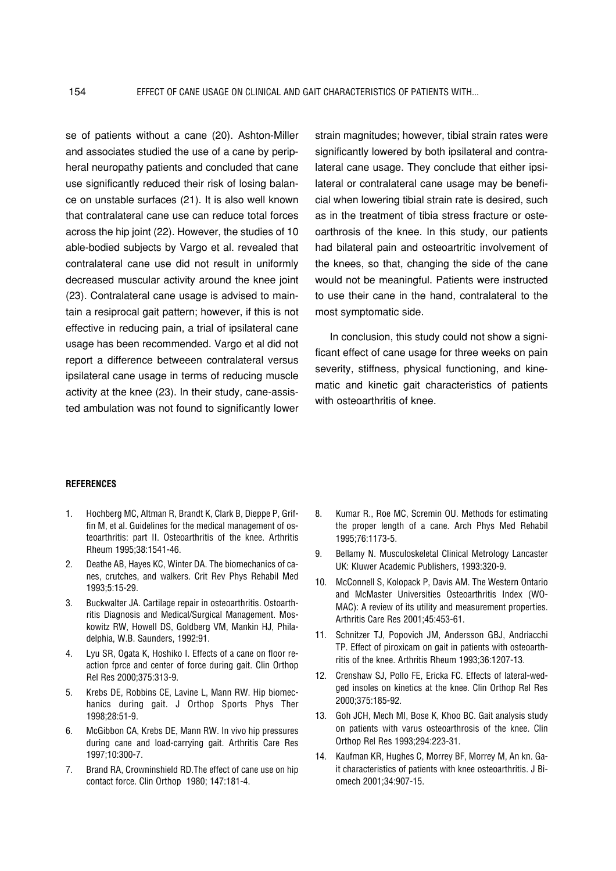se of patients without a cane (20). Ashton-Miller and associates studied the use of a cane by peripheral neuropathy patients and concluded that cane use significantly reduced their risk of losing balance on unstable surfaces (21). It is also well known that contralateral cane use can reduce total forces across the hip joint (22). However, the studies of 10 able-bodied subjects by Vargo et al. revealed that contralateral cane use did not result in uniformly decreased muscular activity around the knee joint (23). Contralateral cane usage is advised to maintain a resiprocal gait pattern; however, if this is not effective in reducing pain, a trial of ipsilateral cane usage has been recommended. Vargo et al did not report a difference betweeen contralateral versus ipsilateral cane usage in terms of reducing muscle activity at the knee (23). In their study, cane-assisted ambulation was not found to significantly lower strain magnitudes; however, tibial strain rates were significantly lowered by both ipsilateral and contralateral cane usage. They conclude that either ipsilateral or contralateral cane usage may be beneficial when lowering tibial strain rate is desired, such as in the treatment of tibia stress fracture or osteoarthrosis of the knee. In this study, our patients had bilateral pain and osteoartritic involvement of the knees, so that, changing the side of the cane would not be meaningful. Patients were instructed to use their cane in the hand, contralateral to the most symptomatic side.

In conclusion, this study could not show a significant effect of cane usage for three weeks on pain severity, stiffness, physical functioning, and kinematic and kinetic gait characteristics of patients with osteoarthritis of knee.

#### **REFERENCES**

- 1. Hochberg MC, Altman R, Brandt K, Clark B, Dieppe P, Griffin M, et al. Guidelines for the medical management of osteoarthritis: part II. Osteoarthritis of the knee. Arthritis Rheum 1995;38:1541-46.
- 2. Deathe AB, Hayes KC, Winter DA. The biomechanics of canes, crutches, and walkers. Crit Rev Phys Rehabil Med 1993;5:15-29.
- 3. Buckwalter JA. Cartilage repair in osteoarthritis. Ostoarthritis Diagnosis and Medical/Surgical Management. Moskowitz RW, Howell DS, Goldberg VM, Mankin HJ, Philadelphia, W.B. Saunders, 1992:91.
- 4. Lyu SR, Ogata K, Hoshiko I. Effects of a cane on floor reaction fprce and center of force during gait. Clin Orthop Rel Res 2000;375:313-9.
- 5. Krebs DE, Robbins CE, Lavine L, Mann RW. Hip biomechanics during gait. J Orthop Sports Phys Ther 1998;28:51-9.
- 6. McGibbon CA, Krebs DE, Mann RW. In vivo hip pressures during cane and load-carrying gait. Arthritis Care Res 1997;10:300-7.
- 7. Brand RA, Crowninshield RD.The effect of cane use on hip contact force. Clin Orthop 1980; 147:181-4.
- 8. Kumar R., Roe MC, Scremin OU. Methods for estimating the proper length of a cane. Arch Phys Med Rehabil 1995;76:1173-5.
- 9. Bellamy N. Musculoskeletal Clinical Metrology Lancaster UK: Kluwer Academic Publishers, 1993:320-9.
- 10. McConnell S, Kolopack P, Davis AM. The Western Ontario and McMaster Universities Osteoarthritis Index (WO-MAC): A review of its utility and measurement properties. Arthritis Care Res 2001;45:453-61.
- 11. Schnitzer TJ, Popovich JM, Andersson GBJ, Andriacchi TP. Effect of piroxicam on gait in patients with osteoarthritis of the knee. Arthritis Rheum 1993;36:1207-13.
- 12. Crenshaw SJ, Pollo FE, Ericka FC. Effects of lateral-wedged insoles on kinetics at the knee. Clin Orthop Rel Res 2000;375:185-92.
- 13. Goh JCH, Mech MI, Bose K, Khoo BC. Gait analysis study on patients with varus osteoarthrosis of the knee. Clin Orthop Rel Res 1993;294:223-31.
- 14. Kaufman KR, Hughes C, Morrey BF, Morrey M, An kn. Gait characteristics of patients with knee osteoarthritis. J Biomech 2001;34:907-15.